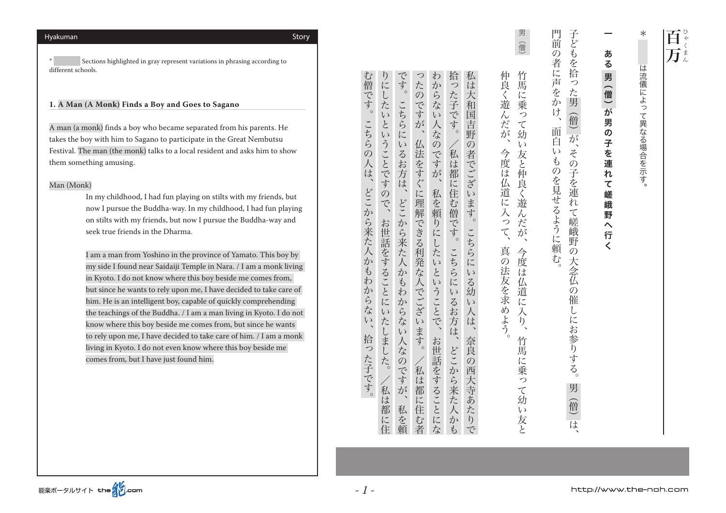Sections highlighted in gray represent variations in phrasing according to different schools.

# 1. A Man (A Monk) Finds a Boy and Goes to Sagano

A man (a monk) finds a boy who became separated from his parents. He takes the boy with him to Sagano to participate in the Great Nembutsu Festival. The man (the monk) talks to a local resident and asks him to show them something amusing.

## Man (Monk)

In my childhood, I had fun playing on stilts with my friends, but now I pursue the Buddha-way. In my childhood, I had fun playing on stilts with my friends, but now I pursue the Buddha-way and seek true friends in the Dharma.

I am a man from Yoshino in the province of Yamato. This boy by my side I found near Saidaiji Temple in Nara. / I am a monk living in Kyoto. I do not know where this boy beside me comes from, but since he wants to rely upon me, I have decided to take care of him. He is an intelligent boy, capable of quickly comprehending the teachings of the Buddha. / I am a man living in Kyoto. I do not know where this boy beside me comes from, but since he wants to rely upon me, I have decided to take care of him. / I am a monk living in Kyoto. I do not even know where this boy beside me comes from, but I have just found him.

仲良く遊んだが 今月18日 中共の 日本 こちら こちら こちら こちら こちら こちら こちら こちら 。それは、その法人に入って、今度は仏道に入って、今度は八道に入って、今度は八道に入って、今度は八道に入って、今度は八道に入って、今度は八道に入って、今度は八道に入って、今度は八道に入って、今度は八道に は大和国吉野 の者でござい 今度は仏道に入っ います。 こちらに  $\zeta$ 真の法友を求めよう  $\mathfrak{c}$ る幼  $\iota$ 人 候 奈良  $\overline{O}$ 海大寺あ たり  $\widetilde{C}$ 

ちょう こうしゅう スター・シー スター・シー スター・シー スター・シー スター・シー スター・シー スター・シー スター・シー

今度

任

 $\tilde{4}$ 

道

に

入

 $\sum_{i=1}^{n}$ 

竹馬

に乗

 $\circ$ 

て幼

 $\zeta$  ) 友と

む僧です。 です。 拾 私 りにしたいということですの ったのですが、仏法をすぐに理解できる利発な人でございます。/私は都に住む者 わ 私は都に住/。お世話をすることにいたしました、りにしたいということですので 人なのですが、こちらには、こちらにいるお方は、こちらにいるお方は。こちらにいるお方は、こちらにいるお方は、こちらにいるお方は、こちらにいるお方は、こちらにいるお方は、こちらにいるお方は、こちらにいるお 私は都に住む者/。仏法をすぐに理解できる利発な人でございます、ったのですが からない人なのですが、 お世話をすることにな、私を頼りにしたいということで、わからない人なのですが **こちらは、こちらは、こちらには、そのようなお方は、そのようなお方は、そのようなお方は、そのようなお方は、そのようなお方は、そのようなお方は、そのようなお方は、そのようなお方は、そのようなお方は、そのようなお方は、そのようなお方は、そのようなお方は、そのようなお方は、そのようなお方は、そのようなお方は、そのようなお方は、そのようなお方は、そのようなお方は、そのようなお方は、そのようなお方は、そのようなお方は、そのようなお方は、そのような** った子です。 こちらにいるお方は、どこから来た人かもわからない人な こちらの /私は都に住む僧です。 )人<br>は、 どこから来た人かもわからない 私を頼りにしたい  $\overline{C}$ お世話をすることにいたしました。 こちらにいるお方は、 こい うことで、お世話をすることにな 拾った子です。 どこから来た人かも のですが、 /私は都に住 私を頼

http://www.the-noh.com

(僧) が

、その子を連れて嵯峨野の大念仏

 $\overline{\mathcal{O}}$ 

僱

しにお参りする。

男

(僧) は

。このようには、このように頼む、門前の者に神をかけるように神をかけるように神をかけるように神をかけるように神をかけるように神をかけるように神をかけるように神をかけるように神をかけるように神をかけるように神をかける

 $\ddot{\zeta}$ 

のを見せるように頼む

面白

(僧(男

道

竹

罵に

乗

 $\overline{z}$ 

 $\tau$ 

幼

 $\iota$ 

·友と仲

良く遊ん

だ

が

。は流儀によって異なる場合を示す\*

は流儀によって異なる場合を示す。

 $\ast$ 

かいしゃ きょうしゅう しゅうしゅう こうしゅう しゅうしゅう しゅうしゅう しゅうしゅう しゅうしゅう しゅうしゅう しゅうしゅう しゅうしゅう しゅうしゅう しゅうしゅう しゅうしゅう しゅうしゅう

 $\overline{\mathbf{C}}$ 

嵯

峨 野

 $\hat{}$ 

行  $\langle$ 

男(僧)が男の子を連れ

ある

。拾った子です、どこから来た人かもわからない、こちらの人は。む僧です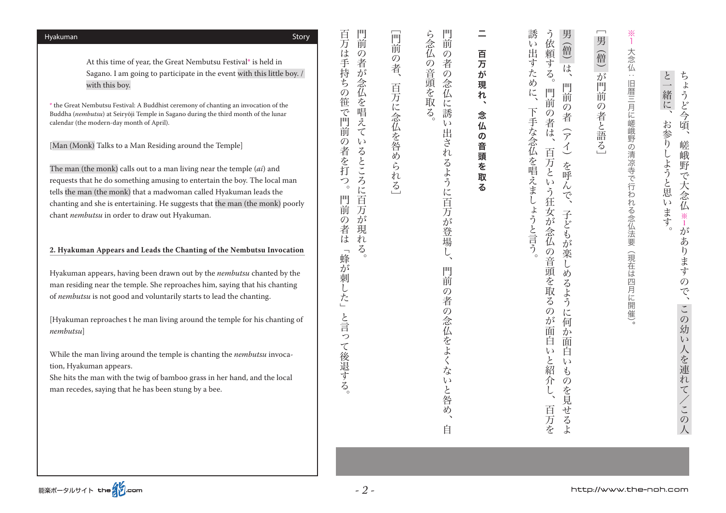| $n$ ern $\nu$ usu                                                                                                                                                                                |
|--------------------------------------------------------------------------------------------------------------------------------------------------------------------------------------------------|
| While the man living around the temple is chanting to<br>tion, Hyakuman appears.<br>She hits the man with the twig of bamboo grass in he<br>man recedes, saying that he has been stung by a bee. |
|                                                                                                                                                                                                  |
| 能楽ポータルサイト the 20com                                                                                                                                                                              |
|                                                                                                                                                                                                  |

The man (the monk) calls out to a man living near the temple *(ai)* and requests that he do something amusing to entertain the boy. The local man tells the man (the monk) that a madwoman called Hyakuman leads the chanting and she is entertaining. He suggests that the man (the monk) poorly chant *nembutsu* in order to draw out Hyakuman.

#### 2. Hyakuman Appears and Leads the Chanting of the Nembutsu Invocation

Hyakuman appears, having been drawn out by the *nembutsu* chanted by the man residing near the temple. She reproaches him, saying that his chanting of nembutsu is not good and voluntarily starts to lead the chanting.

[Hyakuman reproaches t he man living around the temple for his chanting of *nembutsu* [

While the man living around the temple is chanting the *nembutsu* invoca-

er hand, and the local

At this time of year, the Great Nembutsu Festival\* is held in Sagano. I am going to participate in the event with this little boy.  $\int$ with this boy.

\* the Great Nembutsu Festival: A Buddhist ceremony of chanting an invocation of the Buddha (*nembutsu*) at Seiryōji Temple in Sagano during the third month of the lunar calendar (the modern-day month of April).

[Man (Monk) Talks to a Man Residing around the Temple]

門前 百万は手持ちの笹で門前の者を打 。門前の者が説明しているところに百万が見えているところに百万が見えているところに百万が見えているところに百万が見えているところに百万が見えているところに百万が見えているところに百万が見えているところに

の者が念仏を唱えているところに百万が

現

 $\mathcal{Z}_{\Omega}$ 

。と言って後退する」蜂が刺した「門前の者は。百万は手持ちの笹で門前の者を打つ

門前の者

は n

「蜂が刺した」

と言

 $\overline{z}$ 

て後退する。

 $\sum_{\alpha}$ 

二 百万 ふんし しゅうしゅう しゅうしゅう しゅうしゅう しゅうしゅう しゅうしゅう しゅうしゅう しゅうしゅう しゅうしゅう しゅうしゅう しゅうしゅう しゅうしゅう しゅうしゅう が 現  $\boldsymbol{n}$  $\rightarrow$ 念 仏 の 音頭を 取  $\boldsymbol{z}$ 

門前 ら念仏の音頭を取る 。 ちゅうしゅう こうしょう こうしゃ こうしゃ かいしゅう しゅうしゅう かいしゅう しゅうしゅう かいしゅう しゅうしゅう しゅうしゅう しゅうしゅう しゅうしゅう しゅうしゅう しゅうしゅう しゅうしゅう 自らには、この者の念仏に読み出されるように言われるように言われるように言われるように言われるように言われるように言われるように言われるように言われるように言われるように言われるように言われるように言わ  $\mathcal{O}$ 者  $\overline{O}$ 念仏 汇 誘  $\zeta$ 出 ざれ るように百万が登場  $\tilde{L}$ 門 前  $\mathcal{O}$ 者  $\mathcal{O}$ 念仏をよくないと咎 め 自

同前  $\ddot{\odot}$ ) 者、 百万に念仏を咎められ  $\ddot{\delta}$ 

[百万に念仏を発明] [百万に念仏を発明] [百万に念仏を発明] [百万に念仏を発明] [百万に念仏を発明] [百万に念仏を発明] [百万に念仏を発明] [百万に念仏を発明] [百万に念仏を発明] [百万に念仏を発明] [百万に念仏を発明] [百万に念仏の意見]

この人/との女/目前に エンジオ こうしょう こうしょう こうしょう アルバー・バック こうしょう

ありますの

TC

この

幼

 $\zeta$  )

人を連れて/この

。おもの おもの おおし こうしょう こうしょう こうしょう こうしょう こうしょう こうしょう こうしょう こうしょう こうしょう こうしょう こうしょう こうしょう

しようと思います

と一緒に、

お参り

ちょうど今頃、

嵯

(峨野

で大念仏

 $\frac{1}{1}$ 

が

。 (現在は四月に開催して行われる念仏法要:大念の清涼寺で行われる念仏法要:大念仏法要:大念仏法要:大念仏法要:大念仏法要:大念仏法要:大念仏法要:大念仏法要:大念仏法

(現在は四月に開催)。

旧暦三月に嵯峨野の清凉寺で行われる念仏法要

 $\frac{1}{1}$ 

大念仏 :

[が門前の者と語る)僧(男[

第の者と語る]

(僧) が門前

 $\overline{ }$ 男

子ども そうに そうにん こうしょう こうしょう こうしょう こうしょう こうしょう こうしょう こうしょう こうしょう こうしょう こうしょう こうしょう こうしょう

→どもが

楽

ĩ

 $\overline{\phi}$ 

**3るよう** 

 $i\tilde{z}$ 

か

面

 $\sharp$  $\varnothing$ 

を見せるよ

男

(僧)

は

門前

 $\mathcal{O}$ 

者

 $\widehat{z}$ 

 $\overline{\mathcal{L}}$ 

を<br>呼

 $\tilde{\lambda}$ 

う依頼する。

門前

 $\tilde{\mathcal{O}}$ 

者

は

百

方と

 $\zeta$ 

、<br>う<br>狂  $\tilde{\zeta}$ 

安が 子

念仏

の音頭を取る

 $\overline{O}$ 

が面 何

百

 $\iota$ Ĥ

と  $\mathbf{b}$ 

)紹介し、

百万を

百万という はいしゅう こうしゅうしゅ こうしゅうしゅ こうしゅうしゅ こうしゅうしゅうしゅ

ょうと言う。

。下手なんと言う、このようには、このようには、このようには、このようには、このようには、このようには、このようには、このようには、このようには、このようには、このようには、このようには、このようには、

下手な念仏を唱えまし

誘

 $\overline{v}$ 

出すため

 $\sum_{i=1}^{n}$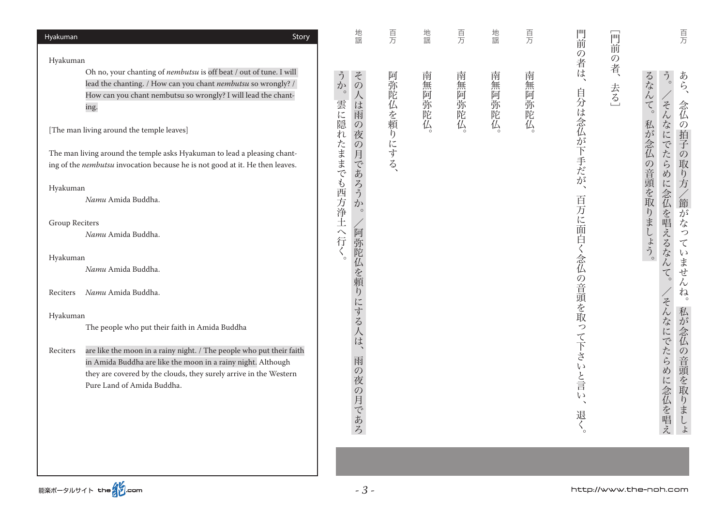| 地謡                                               | 百万                                                                               | 地謡          | 百万     | 地謡      | 百万     |                          | 同                                                   | 百万                                                                           |
|--------------------------------------------------|----------------------------------------------------------------------------------|-------------|--------|---------|--------|--------------------------|-----------------------------------------------------|------------------------------------------------------------------------------|
|                                                  |                                                                                  |             |        |         |        |                          | $\mathcal{O}$                                       |                                                                              |
| その<br>か<br>$\circ$<br>は<br>雨                     |                                                                                  | 南           |        | 南       | 南      | $\overline{\phantom{a}}$ | 去る                                                  | るなん<br>$\tilde{D}_{\circ}$<br>あら、<br>$\zeta$<br>$\ddot{\epsilon}$<br>念仏<br>ん |
| 夜                                                |                                                                                  |             |        |         |        |                          |                                                     | 私が<br>「の拍子」<br>な<br>に                                                        |
| 月<br>$\widetilde{C}$                             |                                                                                  |             |        |         |        |                          |                                                     | 念仏<br>でたら<br>$\overline{O}$<br>取り方<br>$\overline{\phi}$                      |
| ろう<br>$\overline{\mathcal{D}}$<br>$\circ$        |                                                                                  |             |        |         |        |                          |                                                     | の音頭を取<br>に<br>念仏<br>/節が<br>を                                                 |
|                                                  |                                                                                  |             |        |         |        |                          |                                                     | 唱<br>$\zeta$                                                                 |
|                                                  |                                                                                  |             |        |         |        | Ä                        |                                                     | りましょう。<br>つ<br>え<br>$\tau$                                                   |
|                                                  |                                                                                  |             |        |         |        |                          |                                                     | るな<br>$\zeta$ )<br>$\lambda$                                                 |
|                                                  |                                                                                  |             |        |         |        |                          |                                                     | ・ません<br>$\zeta$                                                              |
|                                                  |                                                                                  |             |        |         |        |                          |                                                     | n<br>z                                                                       |
|                                                  |                                                                                  |             |        |         |        |                          |                                                     | 私が                                                                           |
|                                                  |                                                                                  |             |        |         |        |                          |                                                     | 念仏                                                                           |
| 雨<br>$\mathcal{O}$<br>夜<br>$\mathcal{O}$<br>月であろ |                                                                                  |             |        |         |        | ·と言<br>$\zeta$<br>退く     |                                                     | んなにでたらめ<br>の音頭を取りま<br>に念仏を唱え<br>$L$<br>$\downarrow$                          |
|                                                  | 雲に隠れたままでも西方浄土へ行く。<br>$\mathcal{O}$<br>$\mathcal{O}$<br>あ<br>阿弥陀仏を頼<br>りにする人<br>は | 阿弥陀仏を頼りにする、 | 無阿弥陀仏。 | 南無阿弥陀仏。 | 無阿弥陀仏。 | 無阿弥陀仏。                   | 門前<br>の者は<br>自分は念仏が下手だが<br>百万に面<br>念仏<br>の音頭を取って下さい | 前<br>者、                                                                      |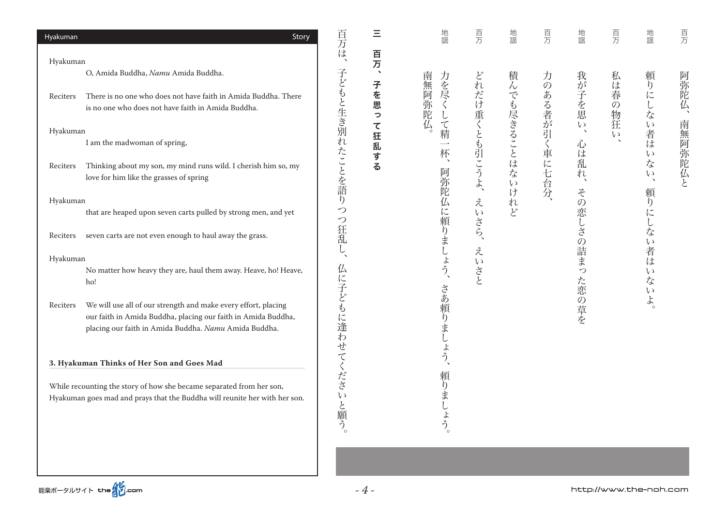| Hyakuman | Story                                                                                                                                                                                    | 百万は               | Ξ                    | 地謡                           | 百万                      | 地謡                     | 百万             | 地謡                               | 頁万                       | 地謡                        | 百万     |
|----------|------------------------------------------------------------------------------------------------------------------------------------------------------------------------------------------|-------------------|----------------------|------------------------------|-------------------------|------------------------|----------------|----------------------------------|--------------------------|---------------------------|--------|
| Hyakuman |                                                                                                                                                                                          |                   | 百万                   |                              |                         |                        |                |                                  |                          |                           |        |
|          | O, Amida Buddha, Namu Amida Buddha.                                                                                                                                                      |                   | $\blacktriangleleft$ | 南                            |                         | 積                      |                |                                  | 私                        | 頼                         |        |
| Reciters | There is no one who does not have faith in Amida Buddha. There<br>is no one who does not have faith in Amida Buddha.                                                                     | 子どもと生き別れ          | 子<br>を<br>思<br>っ     | 力を尽く<br>無阿弥陀<br>$\downarrow$ | どれだけ重くとも引こうよ、           | $\lambda$<br>でも尽きることはな | 力のある者が引く車に七台分、 | 我が子を思                            | は<br>春の物狂                | りにしな                      | 阿弥陀仏   |
| Hyakuman |                                                                                                                                                                                          |                   | $\tau$               | 厷<br>$\zeta$<br>精            |                         |                        |                | $\zeta$<br>$\boldsymbol{\gamma}$ | $\iota \circ$            |                           | 南<br>無 |
|          | I am the madwoman of spring,                                                                                                                                                             |                   | 狂<br>乱               | 杯                            |                         |                        |                | 心<br>は                           | $\overline{\phantom{0}}$ | い者は<br>$\mathcal{U}$      |        |
| Reciters | Thinking about my son, my mind runs wild. I cherish him so, my<br>love for him like the grasses of spring                                                                                | たことを語             | す<br>る               | 阿弥                           |                         | いけ                     |                | 乱<br>れ<br>$\boldsymbol{\lambda}$ |                          | な<br>$\zeta$<br>$\Delta$  | 阿弥陀仏と  |
| Hyakuman |                                                                                                                                                                                          | $\eta$            |                      | 乾<br>仏                       | え                       |                        |                | z                                |                          | 頼<br>$\mathfrak{h}$       |        |
|          | that are heaped upon seven carts pulled by strong men, and yet                                                                                                                           | つ<br>つ            |                      | に<br>頼                       | $\epsilon$ y            | れど                     |                | の恋                               |                          | にしな                       |        |
| Reciters | seven carts are not even enough to haul away the grass.                                                                                                                                  | 狂乱                |                      | りましょう、                       | .<br>さら、                |                        |                | $\lesssim$                       |                          | $\zeta$                   |        |
| Hyakuman |                                                                                                                                                                                          | く                 |                      |                              | え<br>$\epsilon$ $\sqrt$ |                        |                | の詰ま                              |                          | 者<br>は                    |        |
|          | No matter how heavy they are, haul them away. Heave, ho! Heave,<br>ho!                                                                                                                   |                   |                      |                              | 、<br>さと                 |                        |                | つ<br>た恋                          |                          | $\zeta$<br>な<br>$\zeta$ ) |        |
| Reciters | We will use all of our strength and make every effort, placing<br>our faith in Amida Buddha, placing our faith in Amida Buddha,<br>placing our faith in Amida Buddha. Namu Amida Buddha. | 仏に子どもに逢わせてくださ     |                      | さあ頼りまし                       |                         |                        |                | の草を                              |                          | $\mbox{\large\it \char`$  |        |
|          | 3. Hyakuman Thinks of Her Son and Goes Mad                                                                                                                                               |                   |                      | よう                           |                         |                        |                |                                  |                          |                           |        |
|          | While recounting the story of how she became separated from her son,                                                                                                                     |                   |                      | 頼                            |                         |                        |                |                                  |                          |                           |        |
|          | Hyakuman goes mad and prays that the Buddha will reunite her with her son.                                                                                                               | $\zeta$<br>· と願う。 |                      | りまし                          |                         |                        |                |                                  |                          |                           |        |
|          |                                                                                                                                                                                          |                   |                      | よう。                          |                         |                        |                |                                  |                          |                           |        |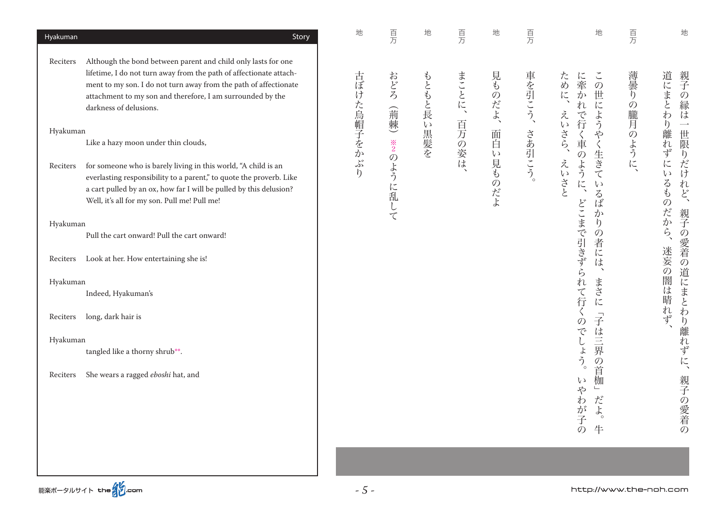| Hyakuman             | Story                                                                                                                                                                                                                                                                                                                                  | 地           | 百万          | 地         | 百万             | 地            | 百万     | 地                                                                                                             | 百万                                      | 地                                               |
|----------------------|----------------------------------------------------------------------------------------------------------------------------------------------------------------------------------------------------------------------------------------------------------------------------------------------------------------------------------------|-------------|-------------|-----------|----------------|--------------|--------|---------------------------------------------------------------------------------------------------------------|-----------------------------------------|-------------------------------------------------|
| Reciters<br>Hyakuman | Although the bond between parent and child only lasts for one<br>lifetime, I do not turn away from the path of affectionate attach-<br>ment to my son. I do not turn away from the path of affectionate<br>attachment to my son and therefore, I am surrounded by the<br>darkness of delusions.<br>Like a hazy moon under thin clouds, | 古ぼけた烏帽子をかぶり | おどろ<br>(荊棘) | もともと長い黒髪を | まことに、<br>百万の姿は | 見ものだよ、<br>面白 | 車を引こう、 | $\tilde{\zeta}$<br>ため<br>に<br>牽<br>$\mathcal{O}$<br>に<br>世<br>か<br>仁<br>れ<br>えい<br>よう<br>で行<br>さら、<br>\$<br>車 | 薄曇<br>$\eta$<br>$\mathcal{O}$<br>朧<br>月 | 道にまと<br>親子の縁は<br>わ<br>h<br>離<br>れ               |
| Reciters             | for someone who is barely living in this world, "A child is an<br>everlasting responsibility to a parent," to quote the proverb. Like<br>a cart pulled by an ox, how far I will be pulled by this delusion?<br>Well, it's all for my son. Pull me! Pull me!                                                                            |             | ※2のように乱して   |           |                | い見ものだよ       | さあ引こう。 | 生<br>$\mathcal{O}$<br>えい<br>きて<br>ように、<br>さと<br>$\mathcal{U}$<br>$\zeta$<br>ぼ<br>か                            | のように                                    | 一世限りだけれど、<br>ず<br>に<br>$\zeta$ )<br>るも<br>のだから、 |
| Hyakuman             | Pull the cart onward! Pull the cart onward!                                                                                                                                                                                                                                                                                            |             |             |           |                |              |        | $\eta$<br>$\mathcal{O}$                                                                                       |                                         |                                                 |
| Reciters             | Look at her. How entertaining she is!                                                                                                                                                                                                                                                                                                  |             |             |           |                |              |        | どこまで引きずら<br>者<br>に<br>は                                                                                       |                                         | 親子の愛着の道にまとわり離れずに、<br>迷妄の闇は晴れず                   |
| Hyakuman             |                                                                                                                                                                                                                                                                                                                                        |             |             |           |                |              |        | まさ                                                                                                            |                                         |                                                 |
|                      | Indeed, Hyakuman's                                                                                                                                                                                                                                                                                                                     |             |             |           |                |              |        | れて行<br>に                                                                                                      |                                         |                                                 |
| Reciters             | long, dark hair is                                                                                                                                                                                                                                                                                                                     |             |             |           |                |              |        | $\vec{+}$<br>$\mathcal{O}$                                                                                    |                                         |                                                 |
| Hyakuman             |                                                                                                                                                                                                                                                                                                                                        |             |             |           |                |              |        | は                                                                                                             |                                         |                                                 |
|                      | tangled like a thorny shrub**.                                                                                                                                                                                                                                                                                                         |             |             |           |                |              |        | でしょう。<br>三界<br>$\mathcal{O}$                                                                                  |                                         |                                                 |
| Reciters             | She wears a ragged eboshi hat, and                                                                                                                                                                                                                                                                                                     |             |             |           |                |              |        | 首<br>枷<br>(y)<br>\$<br>$\qquad \qquad \Box$<br>だ<br>わ<br>が子<br>$\uparrow$<br>牛<br>$\mathcal{O}$               |                                         | 親子の愛着の                                          |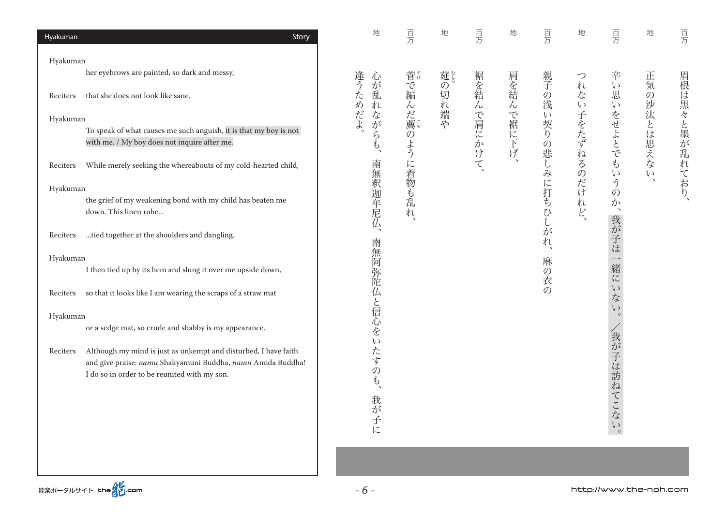| Hyakuman<br>Story                                                                                                                                                                          | 地                         | 百万        | 地                     | 百万        | 地         | 百万                  | 地                            | 百万                                | 地             | 百万             |
|--------------------------------------------------------------------------------------------------------------------------------------------------------------------------------------------|---------------------------|-----------|-----------------------|-----------|-----------|---------------------|------------------------------|-----------------------------------|---------------|----------------|
| Hyakuman                                                                                                                                                                                   |                           |           |                       |           |           |                     |                              |                                   |               |                |
| her eyebrows are painted, so dark and messy,                                                                                                                                               | 心                         |           | 莚じる                   |           |           | 親子                  | つ                            | 辛                                 | 正気            |                |
| that she does not look like sane.<br>Reciters                                                                                                                                              | 逢うためだよ<br>が<br>乱<br>れ     |           | $\mathcal{O}$<br>切れ端や | 裾を結       |           | $\overline{O}$<br>浅 | れ<br>な<br>$\epsilon$ $\sqrt$ | $\iota$<br>思<br>$\zeta$ )         | $\mathcal{O}$ |                |
| Hyakuman                                                                                                                                                                                   |                           |           |                       |           |           | $\zeta$ )           |                              |                                   |               |                |
| To speak of what causes me such anguish, it is that my boy is not<br>with me. / My boy does not inquire after me.                                                                          | ながら<br>$\widetilde{\Phi}$ | 菅で編んだ薦のよう |                       | んで肩に<br>か | 肩を結んで裾に下げ | 契り<br>の悲            | 子をたず                         | をせよとでも                            | 沙汰とは思えな       | 眉根は黒々と墨が乱れており、 |
| While merely seeking the whereabouts of my cold-hearted child,<br>Reciters                                                                                                                 | 南<br>無                    |           |                       | みけて       |           | $\lambda$           | ねる                           | $\epsilon$ )                      | $\zeta$       |                |
| Hyakuman                                                                                                                                                                                   |                           |           |                       |           |           |                     |                              | う<br>$\overline{O}$               |               |                |
| the grief of my weakening bond with my child has beaten me<br>down. This linen robe                                                                                                        | 釈迦牟尼仏、                    | に着物も乱れ、   |                       |           |           | に打ち<br>ひしが          | のだけれど、                       | か                                 |               |                |
| tied together at the shoulders and dangling,<br>Reciters                                                                                                                                   | 南                         |           |                       |           |           | れ                   |                              | 我が子は一緒にい                          |               |                |
| Hyakuman                                                                                                                                                                                   |                           |           |                       |           |           | 麻                   |                              |                                   |               |                |
| I then tied up by its hem and slung it over me upside down,                                                                                                                                |                           |           |                       |           |           | $\mathcal{O}$<br>衣  |                              |                                   |               |                |
| so that it looks like I am wearing the scraps of a straw mat<br>Reciters                                                                                                                   | 無阿弥陀仏と信心をい                |           |                       |           |           | $\mathcal{O}$       |                              | $\vec{\mathcal{T}}$<br>$\epsilon$ |               |                |
| Hyakuman                                                                                                                                                                                   |                           |           |                       |           |           |                     |                              | $\circ$                           |               |                |
| or a sedge mat, so crude and shabby is my appearance.                                                                                                                                      |                           |           |                       |           |           |                     |                              |                                   |               |                |
| Although my mind is just as unkempt and disturbed, I have faith<br>Reciters<br>and give praise: namu Shakyamuni Buddha, namu Amida Buddha!<br>I do so in order to be reunited with my son. | たすの<br>$\phi$<br>我が子に     |           |                       |           |           |                     |                              | 我が子は訪ねてこない<br>$\circ$             |               |                |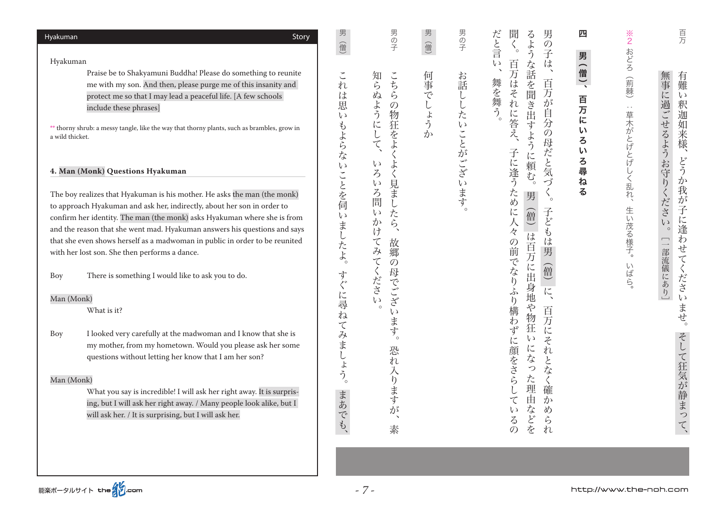| Hyakuman        | Story                                                                                       | 男<br>值         | 男の子                             | 男<br>僧                      | 男の子        | 男<br>だと言<br>聞<br>る<br>ょ<br>$\mathcal{O}$<br>$\circ$  | 四       | $\frac{1}{2}$ | 百万                         |
|-----------------|---------------------------------------------------------------------------------------------|----------------|---------------------------------|-----------------------------|------------|------------------------------------------------------|---------|---------------|----------------------------|
| Hyakuman        |                                                                                             |                |                                 |                             |            | う<br>子                                               | 男       | おどろ           |                            |
|                 | Praise be to Shakyamuni Buddha! Please do something to reunite                              |                |                                 |                             |            | $\iota$<br>百万<br>は<br>な話を聞<br>$\boldsymbol{\lambda}$ |         |               |                            |
|                 | me with my son. And then, please purge me of this insanity and                              |                | こち<br>知らぬ                       | 何事                          | お話         | 百<br>は                                               | 僧)、     | (荊棘)          | 有難<br>無事                   |
|                 |                                                                                             | れ<br>は         | ら                               | $\tilde{C}$                 |            | 舞を舞う<br>z<br>万                                       |         |               | $\mathcal{V}$              |
|                 | protect me so that I may lead a peaceful life. [A few schools                               | 思              | $\mathcal{O}$                   |                             |            | れ<br>当<br>                                           | 百万      |               |                            |
|                 | include these phrases]                                                                      | L)             | ように<br>物                        | しょう                         |            | が<br>自<br>由                                          |         | $\epsilon$ .  |                            |
|                 | ** thorny shrub: a messy tangle, like the way that thorny plants, such as brambles, grow in |                |                                 |                             |            | に答え、<br>分<br>す                                       | に       |               | 釈迦如来                       |
| a wild thicket. |                                                                                             |                | 狂をよ<br>$\mathsf{L}$             | $\mathcal{D}^{\mathcal{A}}$ |            | $\mathcal{O}$<br>よう                                  | L١<br>ろ |               |                            |
|                 |                                                                                             | もよらな           | て                               |                             |            | 母                                                    | L١      |               | 様                          |
|                 |                                                                                             |                | $\zeta$ )                       |                             |            | に                                                    | ろ       | 草木がとげとげ       |                            |
|                 | 4. Man (Monk) Questions Hyakuman                                                            | $\epsilon$ )   | よ<br>$\zeta$                    |                             | ししたいことがござい | だと気<br>子に逢う<br>頼                                     | 尋       |               | に過ごせるようお守りくださ<br>どう        |
|                 |                                                                                             | ことを伺           | 見<br>$\zeta$ )                  |                             |            | む<br>づ<br>ō                                          | ね       | しく乱れ、         | ゕ                          |
|                 | The boy realizes that Hyakuman is his mother. He asks the man (the monk)                    |                | ろ問<br>ま                         |                             |            | ため<br>男<br>ō                                         | る       |               | 我                          |
|                 | to approach Hyakuman and ask her, indirectly, about her son in order to                     |                | $\cup$                          |                             | .<br>ます。   |                                                      |         |               | $\dot{\mathcal{D}}$<br>子   |
|                 | confirm her identity. The man (the monk) asks Hyakuman where she is from                    | $\zeta$ )      | $\zeta$<br>たら                   |                             |            | 子<br>に人<br>僧<br>ど                                    |         |               | に<br>$\iota$               |
|                 | and the reason that she went mad. Hyakuman answers his questions and says                   |                | か<br>け<br>$\tilde{\phantom{a}}$ |                             |            | Ł<br>々                                               |         |               | 逢<br>$\circ$               |
|                 | that she even shows herself as a madwoman in public in order to be reunited                 | ましたよ。          | 故                               |                             |            | は<br>は                                               |         | 生い茂る様子。       | わ<br>$\boxed{\phantom{1}}$ |
|                 | with her lost son. She then performs a dance.                                               |                | 郷                               |                             |            | 百万<br>男                                              |         |               | せ                          |
|                 |                                                                                             |                | $\mathcal{O}$                   |                             |            | の前でなり<br>に                                           |         |               | 部流儀にあり]<br>$\tau$          |
| Boy             | There is something I would like to ask you to do.                                           | 寸              | 母                               |                             |            | 僧<br>出                                               |         | いばら。          | ください                       |
|                 |                                                                                             |                |                                 |                             |            |                                                      |         |               |                            |
| Man (Monk)      |                                                                                             | に尋             | てみてください<br>でござ                  |                             |            | 身地<br>に<br>ふり                                        |         |               |                            |
|                 | What is it?                                                                                 |                | $\circ$<br>しょ                   |                             |            | や<br>構<br>百                                          |         |               | ま                          |
|                 |                                                                                             | $\overline{a}$ |                                 |                             |            | 物狂<br>万                                              |         |               | せ                          |
| Boy             | I looked very carefully at the madwoman and I know that she is                              |                | ます                              |                             |            | わず<br>に                                              |         |               |                            |
|                 | my mother, from my hometown. Would you please ask her some                                  |                | $\circ$                         |                             |            | $\iota$<br>Z                                         |         |               |                            |
|                 | questions without letting her know that I am her son?                                       |                | 恐                               |                             |            | に<br>れ<br>な                                          |         |               |                            |
|                 |                                                                                             |                | れ                               |                             |            | と<br>っ<br>な                                          |         |               |                            |
| Man (Monk)      |                                                                                             | てみましょう。        | 入ります                            |                             |            | に顔をさら<br>た                                           |         |               |                            |
|                 | What you say is incredible! I will ask her right away. It is surpris-                       |                |                                 |                             |            | 理<br>確                                               |         |               | $\psi$                     |
|                 | ing, but I will ask her right away. / Many people look alike, but I                         | まあ             |                                 |                             |            | 由<br>か<br>て                                          |         |               | 静ま                         |
|                 | will ask her. / It is surprising, but I will ask her.                                       |                | が                               |                             |            | な<br>め<br>$\mathfrak{c}$                             |         |               | $\bigcirc$                 |
|                 |                                                                                             | でも、            | $\boldsymbol{\checkmark}$       |                             |            | どを<br>$\zeta$<br>ら                                   |         |               |                            |
|                 |                                                                                             |                | 素                               |                             |            | れ<br>$\mathcal{O}$                                   |         |               |                            |
|                 |                                                                                             |                |                                 |                             |            |                                                      |         |               |                            |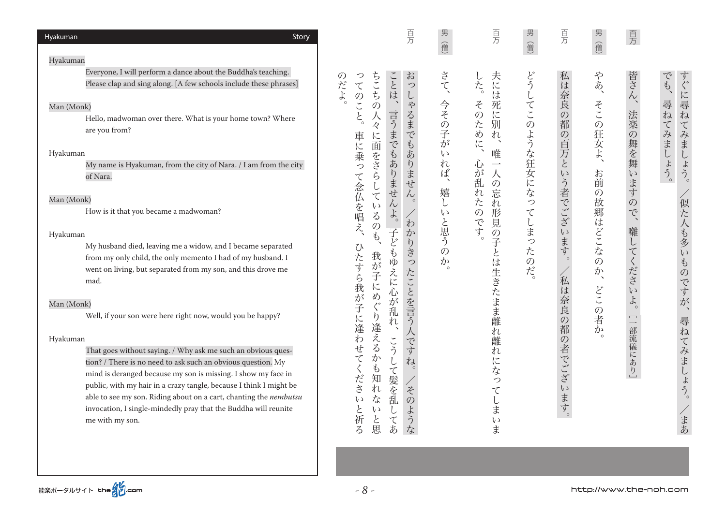| Hyakuman<br>Story                                                                                                                                                                                                                                                                                                                                                                                                                          | 百万                                                                                                                                                                                  |                                               | 百万                                                            | 男<br>一僧      | 百万             | 男(僧)     | 百万                                             |                    |
|--------------------------------------------------------------------------------------------------------------------------------------------------------------------------------------------------------------------------------------------------------------------------------------------------------------------------------------------------------------------------------------------------------------------------------------------|-------------------------------------------------------------------------------------------------------------------------------------------------------------------------------------|-----------------------------------------------|---------------------------------------------------------------|--------------|----------------|----------|------------------------------------------------|--------------------|
| Hyakuman                                                                                                                                                                                                                                                                                                                                                                                                                                   |                                                                                                                                                                                     | 信                                             |                                                               |              |                |          |                                                |                    |
| Everyone, I will perform a dance about the Buddha's teaching.<br>Please clap and sing along. [A few schools include these phrases]<br>Man (Monk)                                                                                                                                                                                                                                                                                           | お<br>ちこち<br>ことは、<br>つ<br>O)<br>だ<br>$\tau$<br>つ<br>よ<br>$\mathcal{O}$<br>L<br>\$<br>$\tilde{\zeta}$<br>$\mathcal{O}$                                                                | さて、                                           | 夫には<br>した。<br>Z<br>死                                          | どう           | 私は奈良           | やあ、      | 皆さん<br>$\Delta$                                | すぐに尋ねて<br>でも、<br>尋 |
| Hello, madwoman over there. What is your home town? Where<br>are you from?                                                                                                                                                                                                                                                                                                                                                                 | るま<br>$\overline{\xi}$<br>言うまでもあ<br>ハ<br>々<br>$\tilde{C}$<br>に<br>車<br>$\mathfrak{F}$<br>面                                                                                          | 今その子<br>が                                     | $\mathcal{O}$<br>に別<br>ため<br>n<br>$\overline{\zeta}$          |              | の都             | そこの狂女よ、  | 法楽の舞を舞                                         | ね<br>$\tau$        |
| Hyakuman<br>My name is Hyakuman, from the city of Nara. / I am from the city<br>of Nara.                                                                                                                                                                                                                                                                                                                                                   | に乗っ<br>あ<br>一をさら<br>りませ<br>らませ<br>$\cup$                                                                                                                                            | $\epsilon$ $\sqrt$<br>れ<br>ば<br>$\rightarrow$ | 唯<br>心が乱れたの<br>$\overline{\phantom{a}}$<br>人<br>$\mathcal{O}$ | してこのような狂女になっ | の百万という者でございます。 | お前       | $\overline{y}$                                 | みましょう。<br>みましょう。   |
| Man (Monk)<br>How is it that you became a madwoman?                                                                                                                                                                                                                                                                                                                                                                                        | て念仏を唱え<br>$\lambda$<br>$\tau$<br>$\lambda$<br>$\iota$<br>$f_{o}$<br>$\zeta$<br>わ<br>$\mathcal{O}$                                                                                   | 嬉<br>$\zeta$ )                                | 忘<br>れ<br>形<br>です<br>覓                                        | てしまっ         |                | の故郷はどこなの | ・ますの<br>で、                                     |                    |
| Hyakuman<br>My husband died, leaving me a widow, and I became separated                                                                                                                                                                                                                                                                                                                                                                    | 子<br>か<br>P<br>ども                                                                                                                                                                   | と思うの                                          | $\overline{O}$<br>子                                           |              |                |          |                                                |                    |
| from my only child, the only memento I had of my husband. I                                                                                                                                                                                                                                                                                                                                                                                | りきっ<br>我                                                                                                                                                                            | か                                             |                                                               |              |                |          |                                                |                    |
| went on living, but separated from my son, and this drove me<br>mad.                                                                                                                                                                                                                                                                                                                                                                       | ゆえ<br>が<br>たことを言う<br>子<br>に<br>心<br>め                                                                                                                                               |                                               | とは生きたまま離                                                      | こたのだ。        | 私は奈良           | か、       | 囃してください                                        | 似た人も多いものですが、       |
| Man (Monk)<br>Well, if your son were here right now, would you be happy?                                                                                                                                                                                                                                                                                                                                                                   | ひたすら我が子に逢わ<br>が<br>乱<br>$\mathfrak h$<br>れ<br>逢え                                                                                                                                    |                                               | れ                                                             |              |                | どこの者か    | $\mbox{\large\it \ensuremath{\not{\!\!{ E}}}}$ |                    |
| Hyakuman<br>That goes without saying. / Why ask me such an obvious ques-<br>tion? / There is no need to ask such an obvious question. My<br>mind is deranged because my son is missing. I show my face in<br>public, with my hair in a crazy tangle, because I think I might be<br>able to see my son. Riding about on a cart, chanting the nembutsu<br>invocation, I single-mindedly pray that the Buddha will reunite<br>me with my son. | こう<br>です<br>$\zeta$<br>せてく<br>か<br>ね<br>$\mathfrak{F}$<br>$\circ$<br>て髪を乱<br>知れ<br>ださ<br>その<br>な<br>$\epsilon$ y<br>$\overline{t}$<br>と<br>$\iota$<br>L<br>うな<br>祈る<br>と<br>思<br>てあ |                                               | 離<br>れ<br>に<br>な<br>つ<br>$\tau$<br>しま<br>L)<br>ま              |              | の都の者でございます。    |          | [一部流儀にあり]                                      | 尋ねてみましょう。<br>、まあ   |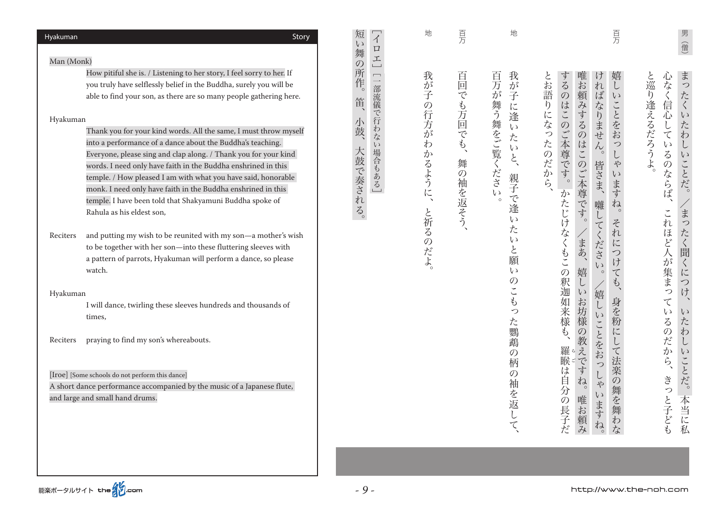| Hyakuman<br>Story                                                                                                                                                                                                                                                                                                                                                                                                                                                                                                                                                                                                                                                                                                                                                                                                                                                                                                                                                                                                                                                                                                                                                                                                                                                                     | 短<br>$\overline{\Lambda}$<br>$\epsilon$ )<br>$\Box$<br>舞                                                                  | 地                                           | 百万                                            | 地                                                                                                                                                                                                                                                                                         | 百万                                                                                                                                                                                                                                                                                                                                                                                                                                                                                                                                                                                                                                                                                                                                                                        | 男<br>僧                                                                                                                                                                                                                                                                                                                                                                                |
|---------------------------------------------------------------------------------------------------------------------------------------------------------------------------------------------------------------------------------------------------------------------------------------------------------------------------------------------------------------------------------------------------------------------------------------------------------------------------------------------------------------------------------------------------------------------------------------------------------------------------------------------------------------------------------------------------------------------------------------------------------------------------------------------------------------------------------------------------------------------------------------------------------------------------------------------------------------------------------------------------------------------------------------------------------------------------------------------------------------------------------------------------------------------------------------------------------------------------------------------------------------------------------------|---------------------------------------------------------------------------------------------------------------------------|---------------------------------------------|-----------------------------------------------|-------------------------------------------------------------------------------------------------------------------------------------------------------------------------------------------------------------------------------------------------------------------------------------------|---------------------------------------------------------------------------------------------------------------------------------------------------------------------------------------------------------------------------------------------------------------------------------------------------------------------------------------------------------------------------------------------------------------------------------------------------------------------------------------------------------------------------------------------------------------------------------------------------------------------------------------------------------------------------------------------------------------------------------------------------------------------------|---------------------------------------------------------------------------------------------------------------------------------------------------------------------------------------------------------------------------------------------------------------------------------------------------------------------------------------------------------------------------------------|
| Man (Monk)<br>How pitiful she is. / Listening to her story, I feel sorry to her. If<br>you truly have selflessly belief in the Buddha, surely you will be<br>able to find your son, as there are so many people gathering here.<br>Hyakuman<br>Thank you for your kind words. All the same, I must throw myself<br>into a performance of a dance about the Buddha's teaching.<br>Everyone, please sing and clap along. / Thank you for your kind<br>words. I need only have faith in the Buddha enshrined in this<br>temple. / How pleased I am with what you have said, honorable<br>monk. I need only have faith in the Buddha enshrined in this<br>temple. I have been told that Shakyamuni Buddha spoke of<br>Rahula as his eldest son,<br>and putting my wish to be reunited with my son-a mother's wish<br>Reciters<br>to be together with her son-into these fluttering sleeves with<br>a pattern of parrots, Hyakuman will perform a dance, so please<br>watch.<br>Hyakuman<br>I will dance, twirling these sleeves hundreds and thousands of<br>times,<br>praying to find my son's whereabouts.<br>Reciters<br>[Iroe] [Some schools do not perform this dance]<br>A short dance performance accompanied by the music of a Japanese flute,<br>and large and small hand drums. | 工<br>$\overline{O}$<br>所<br>$\begin{array}{c}\n\hline\n\end{array}$<br>作。<br>部流儀で行わな<br>笛<br>鼓、<br>い場合もある<br>大鼓<br>で奏される。 | 我が<br>子の行方がわ<br>かるように、<br>と祈る<br><b>のだよ</b> | 百<br>回でも万回でも、<br>舞<br>$\mathcal{O}$<br>袖を返そう、 | 我<br>百万が舞う舞をご覧ください<br>が<br>子<br>こに逢<br>$\zeta$<br>た<br>$\zeta$<br>$\xi$<br>親子<br>$\overline{\mathbb{C}}$<br>逢<br>$\epsilon$<br>た<br>$\mathfrak{c}$<br>と<br>願<br>$\iota$<br>$\mathcal{O}$<br>$\tilde{\cdot}$<br>Þ<br>つ<br>た<br>鸚<br>鵡<br>$\mathcal{O}$<br>柄<br>$\mathcal{O}$<br>袖<br>を返して、 | 嬉<br>とお語<br>する<br>唯<br>け<br>「お頼<br>れ<br>$\iota$<br>ぼ<br>$\mathcal{D}% _{M_{1},M_{2}}^{\alpha,\beta}(\varepsilon)$<br>$\zeta$ )<br>はこ<br>みす<br>ことをお<br>$\mathfrak{h}$<br>なりません<br>にな<br>$\mathcal{D}$<br>るの<br>っ<br>$\widetilde{\zeta}$<br>たのだか<br>本尊<br>はこ<br>$\mathfrak{O}$<br>$\circ$<br>L<br>皆さま、<br>のご本尊<br>や<br>$\sqrt{\zeta}$<br>す。<br>$\zeta$<br>ら、<br>·ます<br>か<br>たじけ<br>です。<br>ね。<br>囃<br>$\cup$<br>それ<br>てくださ<br>なくもこ<br>、まあ、<br>に<br>つけ<br>$\zeta$ )<br>嬉<br>$\mathcal{O}$<br>$\boldsymbol{\tau}$<br>$\circ$<br>釈<br>$\hat{\varphi}$<br>$\downarrow$<br>/嬉<br>迦如来様<br>$\zeta$<br>身を粉<br>お坊様<br>$\cup$<br>$\zeta$ )<br>ことをお<br>L,<br>に<br>の教え<br>羅睺<br>$\tau$<br>法楽の<br><b>!ですね。</b><br>つ<br>は自<br>$\phi$<br>舞を舞<br>分の長子だ<br>$\zeta$<br>唯お頼み<br>いますね。<br>お<br>な | まっ<br>と巡り逢えるだろうよ<br>心なく信心<br>たく<br>$\zeta$ )<br>た<br>して<br>わ<br>$\cup$<br>$\iota$<br>$\zeta$<br>$\iota$<br>ことだ。<br>のならば、<br>$\circ$<br>$\overline{\mathbf{t}}$<br>これほど人<br>$\bigcirc$<br>たく聞<br>が集まっ<br>$\overline{\langle}$<br>に<br>つ<br>け<br>$\Delta$<br>$\tau$<br>$\zeta$ )<br>$\zeta$ )<br>$\zeta$<br>た<br>うのだか<br>わ<br>$\cup$<br>$\iota$<br>$\ddot{5}$<br>ことだ。<br>きっと子ども<br>本当に私 |
|                                                                                                                                                                                                                                                                                                                                                                                                                                                                                                                                                                                                                                                                                                                                                                                                                                                                                                                                                                                                                                                                                                                                                                                                                                                                                       |                                                                                                                           |                                             |                                               |                                                                                                                                                                                                                                                                                           |                                                                                                                                                                                                                                                                                                                                                                                                                                                                                                                                                                                                                                                                                                                                                                           |                                                                                                                                                                                                                                                                                                                                                                                       |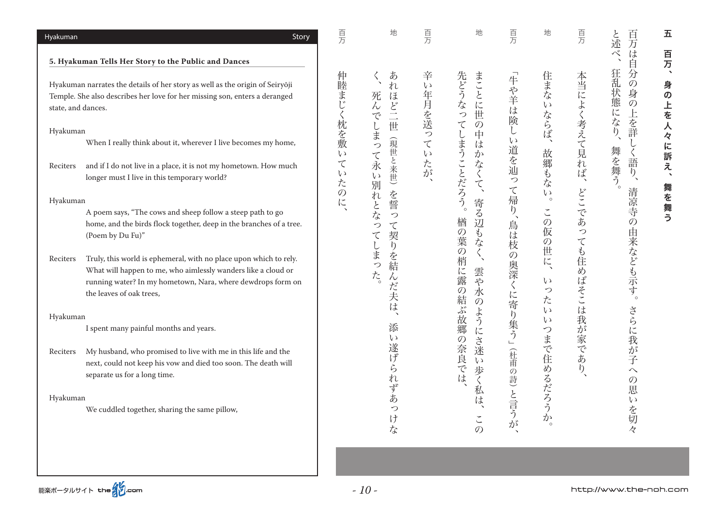| Hyakuman<br>Story                                                                                                                                                                                                                         | 百万                      | 地                                          | 頁万                    | 地                                                    | 百万                           | 地                                                                  | 百万                                 | 百<br>と<br>述<br>方                                                   | 五                             |
|-------------------------------------------------------------------------------------------------------------------------------------------------------------------------------------------------------------------------------------------|-------------------------|--------------------------------------------|-----------------------|------------------------------------------------------|------------------------------|--------------------------------------------------------------------|------------------------------------|--------------------------------------------------------------------|-------------------------------|
| 5. Hyakuman Tells Her Story to the Public and Dances                                                                                                                                                                                      |                         |                                            |                       |                                                      |                              |                                                                    |                                    | $\frac{1}{\sqrt{2}}$<br>は<br>自                                     | 百万                            |
| Hyakuman narrates the details of her story as well as the origin of Seiryōji<br>Temple. She also describes her love for her missing son, enters a deranged<br>state, and dances.                                                          | 仲<br>:睦まじ               | あ<br>れ<br>死ん<br>ほ<br>$\sum_{i=1}^{n}$<br>で | 辛<br>$\zeta$<br>年月を送っ | 先どう<br>まことに世<br>な<br>っ                               | 「牛や羊は険                       | 住まな<br>$\zeta$ )                                                   | 本当によく考えて見                          | 狂<br>分<br>乱<br>$\mathcal{O}$<br>状<br>身<br>態に<br>$\mathcal{O}$<br>上 | $\blacktriangleleft$<br>身の上を人 |
| Hyakuman<br>When I really think about it, wherever I live becomes my home,                                                                                                                                                                | 枕を敷                     | $\cup$<br>世<br>ま<br>玩<br>っ<br>世            | $\tau$                | $\tau$<br>$\mathcal{O}$<br>中<br>は                    | L<br>$\iota$                 | ならば                                                                |                                    | なり<br>を詳<br>$\overline{\phantom{a}}$                               |                               |
| and if I do not live in a place, it is not my hometown. How much<br>Reciters<br>longer must I live in this temporary world?                                                                                                               | $\zeta$<br>て<br>L)<br>た | $\tau$<br>と来世)<br>永<br>$\iota$<br>別        | $\zeta$ )<br>たが       | まうことだろう。<br>か<br>な<br>$\zeta$<br>$\tau$              | 道を辿<br>つ                     | 故<br>郷<br>もな                                                       | れ<br>ば<br>$\overline{\phantom{a}}$ | 舞を舞う。<br>く語<br>$\eta$<br>$\tilde{\phantom{a}}$                     | 々に訴え、                         |
| Hyakuman<br>A poem says, "The cows and sheep follow a steep path to go                                                                                                                                                                    | $\mathcal{O}$<br>に      | を誓<br>れ<br>$\boldsymbol{\xi}$<br>な<br>っ    |                       | 寄<br>る<br>楢                                          | $\tau$<br>帰<br>$\eta$        | $\mathcal{U}$<br>$\circ$<br>$\check{\phantom{a}}$<br>$\mathcal{O}$ | どこ<br>であ                           | 清<br>凉寺<br>$\mathcal{O}$                                           | 舞を舞う                          |
| home, and the birds flock together, deep in the branches of a tree.<br>(Poem by Du Fu)"                                                                                                                                                   |                         | て<br>つ<br>契<br>て<br>$\mathfrak{h}$<br>しまっ  |                       | 辺も<br>の葉<br>な<br>$\overline{O}$                      | 鳥<br>は<br>枝<br>$\mathcal{O}$ | 仮<br>$\mathcal{O}$<br>世                                            | っ<br>て<br>P                        | 由                                                                  |                               |
| Truly, this world is ephemeral, with no place upon which to rely.<br>Reciters<br>What will happen to me, who aimlessly wanders like a cloud or<br>running water? In my hometown, Nara, where dewdrops form on<br>the leaves of oak trees, |                         | を結<br>た<br>$\lambda$<br>だ<br>夫             |                       | 梢<br>雲や<br>に露<br>$\mathcal{O}$<br>水<br>$\mathcal{O}$ | 奥深<br>$\zeta$<br>に           | に<br>$\iota$<br>つ<br>た                                             | 住<br>め<br>じばそこ                     | 来なども示す。                                                            |                               |
| Hyakuman                                                                                                                                                                                                                                  |                         | は                                          |                       | 結ぶ故郷<br>ように                                          | 寄<br>$\eta$                  | $\iota$<br>$\iota$                                                 | は<br>)我が                           |                                                                    |                               |
| I spent many painful months and years.                                                                                                                                                                                                    |                         | 添<br>$\iota$                               |                       | $\mathcal{O}$                                        | 集う」                          | つ<br>ま                                                             |                                    |                                                                    |                               |
| My husband, who promised to live with me in this life and the<br>Reciters<br>next, could not keep his vow and died too soon. The death will<br>separate us for a long time.                                                               |                         | 遂げ<br>ら<br>れ                               |                       | さ<br>迷<br>奈良では<br>$\zeta$<br>歩                       | 征<br>甫<br>の詩)                | で住<br>め                                                            | 3家であり                              | さらに我が子<br>$\curvearrowright$<br>$\mathcal{O}$                      |                               |
| Hyakuman<br>We cuddled together, sharing the same pillow,                                                                                                                                                                                 |                         | ず<br>あ<br>つ<br>け<br>な                      |                       | は<br>$\check{\cdot}$<br>$\mathcal{O}$                | と言うが                         | るだろう<br>か<br>$\circ$                                               |                                    | 恵<br>$\zeta$ )<br>· を切々                                            |                               |
|                                                                                                                                                                                                                                           |                         |                                            |                       |                                                      |                              |                                                                    |                                    |                                                                    |                               |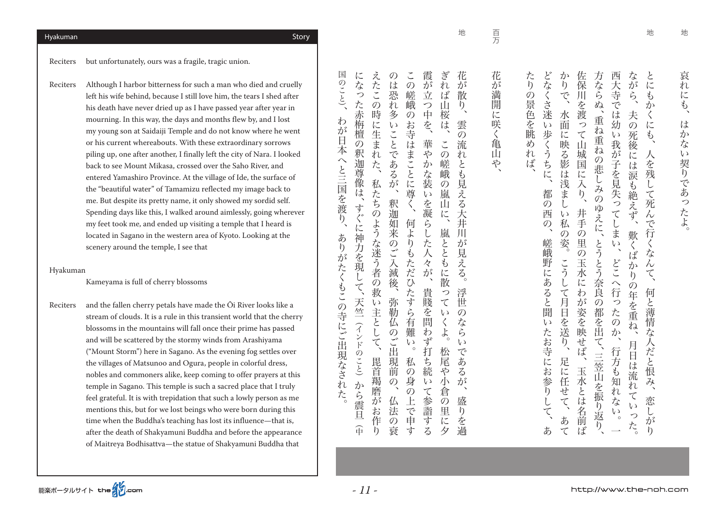地

地

たり どな 佐保 方なら 西大 とに か な いち こうしょう しゅうしょう しゅうしゅう しゅうしゅう しゅうしゅう しゅうしゅう しゅうしゅう しゅうしゅう しゅうしゅう しゅうしゅう しゅうしゅう しゅうしゅう しゅうしゅう あ、嵯峨野にあると聞いたお寺にお参りして、都の西の、どなくさ迷い歩くうちに たちには こうしょうしゃ こうしゅうしゅ こうしゅう こうしゅう こうしゅう こうしゅう こうしゃ こうしゃ こうしゃ こうしん かりく かんしゅう かんしょう  $\mathfrak{h}$ 玉水とは名前ば、井手の里の玉水にわが姿を映せば、佐保川を渡って山城国に入り 、三笠山を振り返り、 とうとう奈良の都を出て、 重ね重ねの悲しみのゆえに、 方ならぬ このために、これは、日本の中では、日本の中では少しでしまい、これは、日本の中では少しでしまいたのか、日本の中では少しでしまいたのか、日本の中では少しでしまいたのか、日本の中では少しでしまいたのか、日本  $\overline{3}$ 。月日は流れていった、歎くばかりの年を重ね、夫の死後には涙も絶えず、ながら へ、そのことには、そのことには、そのことには、そのことには、そのことには、そのことには、そのことには、そのことには、そのことには、そのことには、そのことには、そのことには、そのことには、そのことには、そのことには、そのことには、そのことには、そのことには、そのことには、そのことには、そのことには、そのことには、そのことには、そのことには、そのことには、そのことには、そのことには、そのことには、そのことには、そのことには、そのことには、そ  $\check{\zeta}$ 等  $\tilde{\mathcal{C}}$  $\overline{\mathbf{H}}$ ら の景色を眺  $\mathcal{L}$ さ迷い  $\overline{\mathbb{A}}$ ゚を では幼  $\sum$ 水面 渡 夫  $\langle$ 重ね  $\tilde{\mathcal{O}}$ っ に 步 て山  $\sqrt{2}$ 死後 に映る影は浅ま  $\mathfrak{F}$ 『重ねの くうちに、 我が子を見失ってしま め n 城 人を残 には涙も ぼ 国 悲しみの に 入り、 して死んで行く 都 )絶えず  $\mathcal{O}$  $\mathsf{L}$ いゆえに、 井手 西  $\overline{v}$ 私  $\mathcal{D}$  $\overline{\mathcal{O}}$  $\tilde{\mathcal{O}}$ 歎 姿 嵯峨 重の玉  $\sum_{i=1}^{n}$ とうとう  $\tilde{\zeta}$ な ぼ どこ こう 野  $\lambda$  $\overline{D}$ 求に に  $\tilde{b}$  $\tau$ 奈 あ  $\downarrow$  $\curvearrowright$  $\overline{O}$ 行 こると  $\tau$ わ 意 何 至 月 が  $\overline{\mathcal{O}}$ っ -を重 と薄情な ·姿を映 )都を出 日を送 たの 聞  $\overline{V}$ ね、 た  $\overline{D}$  $\sum_{i=1}^{n}$ ハせば お寺にお参り  $\tilde{\zeta}$ 人だと恨 月日は流れ 行方も知れ 三笠山を振り 足に 玉 に任せて、 示とは  $\lambda$ ごてい 恋し Ĺ な 6名前ば て  $\sqrt{ }$ 返り っ あて  $\circ$  $\bar{\psi}$ た。 あ  $\mathfrak{h}$ 

、百万花が満開に咲く亀山や 花 が 2満開 に 咲  $\widehat{\zeta}$ 亀 Ш や

頁

地

国 にな 霞が ぎれ  $\tilde{z}$  $\check{\phantom{a}}$ 花  $\mathcal{O}$ のこと)、 スコン さんきょう こうしゅう こうしゅう こうしゅう こうしゅう こうしゅう こうしゅう こうしゅう こうしゅう こうしゅう こうしゅう こうしゅう こうしゅう こうしゅう こうしゅう こうしゅう こうしゅう こうしゅう た も、それには、人にこの時に、人にこの時にも、人にこの時に生まれた。 この時に、人にこの時にも、人にこの時にも、人にこの時にも、人にこの時にも、人にこの時にも、人にこの時にも、人にこの時にも、人にこの時にも、人にこの時にも は 仏法の衰、弥勒仏のご出現前の、釈迦如来のご入滅後、のは恐れ多いことであるが  $\mathcal{O}$ 人の身の上でもあるとは、この俣のようなものともあると、その後は、この俣のお寺はまことに尊ぐ、その候に尊く、その候に尊く、その候に尊く、その候に尊く、その候に尊く、その候に尊く、その候に尊く、その候に尊 貴賤を問わず打ち続いて参詣する、華やかな装いを凝らした人々が、霞が立つ中を 松尾や小倉の里に夕。嵐とともに散っていくよ、この嵯峨の嵐山に、ぎれば山桜は 盛りを過、浮世のならいであるが。雲の流れとも見える大井川が見える、花が散り かぶ 立 っ  $\check{\cdot}$ 恐 嵄 ぼ 散 た赤 峨 一つ中を、  $n$ Щ  $\mathcal{O}$  $\sqrt{2}$ 時 多  $\overline{O}$ 桜 わ ``栴檀 に  $\tilde{V}$ おうしょう おんじゅう おんじゅつ は 雲 が に生ま 3寺は ことであるが  $\mathcal{O}$ 日  $\overline{\overline{O}}$ 華  $\check{\phantom{a}}$ 流 本 釈  $\tilde{n}$ ま  $\dot{\hat{\mathcal{P}}}$  $\mathcal{O}$ n,  $\widehat{\phantom{0}}$ かな装 迦 嵯 た、 ことに と と三国を渡 導像は 峨  $\mathcal{L}$ 私 見  $\mathcal{O}$ 尊 充  $\overline{u}$ 嵐  $\tilde{\lambda}$ ち 釈  $\tilde{\zeta}$ を凝  $\overline{z}$ Ш す 迦如  $\mathcal{O}$ に ぐに神  $\eta$ 何  $\tilde{b}$ 并 ような迷う者 莱  $\ddot{x}$ 嵐  $\overline{L}$  $J<sub>1</sub>$ あ のご入滅後、 りも 卮 ととも が 力を現  $\eta$ 人 見  $\hat{\mathcal{D}}^{\mathcal{S}}$ えだ  $\overline{\mathcal{R}}$  $\bar{\lambda}$ た が に  $\zeta$ くもこの寺にご出現なされ L こひたす 散  $\mathcal{O}$  $\tilde{\zeta}$ 貴賤 救 っ 浮 天竺 弥  $\overline{v}$  $\tau$ 丗 ·主<br>と 勒  $\zeta$ 《を問  $\iota$  $\mathcal{O}$  $\tilde{\mu}$ 有  $\langle$ な  $\widehat{\lambda}$ 中(から震旦)インドのこと(  $\overline{L}$ 難 **おかず** のご出 よ  $\zeta$ ンドのこと)  $\tau$  $\tilde{V}$  $\iota$  $\circ$ 打ち 松尾 で 現前 私 あ 毘首  $\overline{\mathcal{O}}$ 続  $\overline{\mathcal{P}}$  $Z$ 羯磨  $\mathcal{O}$ 身  $\iota$ 小 が ゕ  $\mathcal{O}$ て参詣する 倉 た :ら震 仏 が 上  $\overline{O}$ 盛 六申 里 お 法  $\overline{b}$ 日 作 を過  $\mathcal{O}$ に 金 衰  $\eta$ र्न 夕

。ありは、その子にごとに、日本人と三国を渡り、日本へと三国を渡り、日本へと三国を渡り、日本へと三国を渡り、国のことを渡り、国のことを渡り、国のことを渡り、国のことを渡り、国のことを渡り、国のことを渡り

Reciters Although I harbor bitterness for such a man who died and cruelly left his wife behind, because I still love him, the tears I shed after his death have never dried up as I have passed year after year in mourning. In this way, the days and months flew by, and I lost my young son at Saidaiji Temple and do not know where he went or his current whereabouts. With these extraordinary sorrows piling up, one after another, I finally left the city of Nara. I looked back to see Mount Mikasa, crossed over the Saho River, and entered Yamashiro Province. At the village of Ide, the surface of the "beautiful water" of Tamamizu reflected my image back to me. But despite its pretty name, it only showed my sordid self. Spending days like this, I walked around aimlessly, going wherever my feet took me, and ended up visiting a temple that I heard is located in Sagano in the western area of Kyoto. Looking at the scenery around the temple. I see that

#### Hyakuman

Kameyama is full of cherry blossoms

Reciters and the fallen cherry petals have made the Ōi River looks like a stream of clouds. It is a rule in this transient world that the cherry blossoms in the mountains will fall once their prime has passed and will be scattered by the stormy winds from Arashiyama ("Mount Storm") here in Sagano. As the evening fog settles over the villages of Matsunoo and Ogura, people in colorful dress, nobles and commoners alike, keep coming to offer prayers at this temple in Sagano. This temple is such a sacred place that I truly feel grateful. It is with trepidation that such a lowly person as me mentions this, but for we lost beings who were born during this time when the Buddha's teaching has lost its influence—that is, after the death of Shakyamuni Buddha and before the appearance of Maitreya Bodhisattva—the statue of Shakyamuni Buddha that

Reciters but unfortunately, ours was a fragile, tragic union.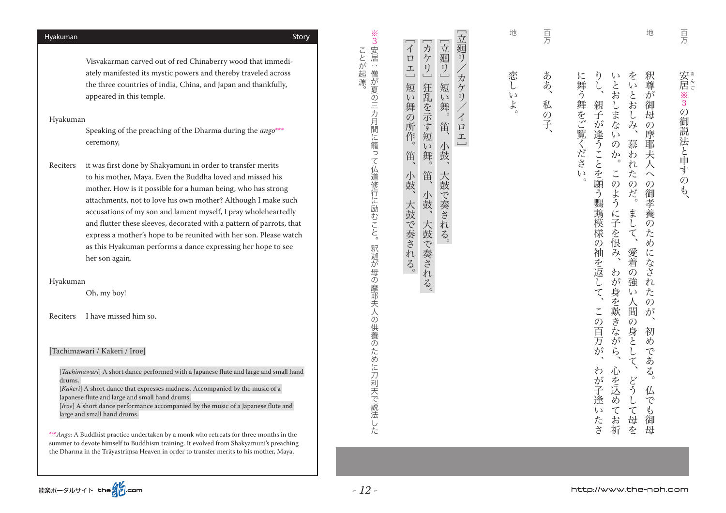| ヵ<br>ことが起源。<br>テリー<br>$\Box$<br>Visvakarman carved out of red Chinaberry wood that immedi-<br>$\epsilon$ .<br>工<br>ately manifested its mystic powers and thereby traveled across<br>僧が夏の三カ月間に籠って仏道修行に励むこと。<br>the three countries of India, China, and Japan and thankfully,<br>狂乱を示す短<br>短<br>appeared in this temple.<br>$\epsilon$ )<br>舞<br>$\mathcal{O}$<br>Hyakuman<br>所<br>Speaking of the preaching of the Dharma during the ango <sup>***</sup><br>作。<br>ceremony,<br>$\epsilon$ y<br>舞。<br>笛<br>Reciters<br>it was first done by Shakyamuni in order to transfer merits<br>笛<br>小鼓<br>to his mother, Maya. Even the Buddha loved and missed his<br>mother. How is it possible for a human being, who has strong<br>小鼓、<br>attachments, not to love his own mother? Although I make such<br>大鼓で奏される。<br>accusations of my son and lament myself, I pray wholeheartedly<br>and flutter these sleeves, decorated with a pattern of parrots, that<br>大鼓で奏される。<br>express a mother's hope to be reunited with her son. Please watch<br>as this Hyakuman performs a dance expressing her hope to see<br>釈迦が母の摩耶夫人の供養のために刀利天で説<br>her son again.<br>Hyakuman<br>Oh, my boy!<br>I have missed him so.<br>Reciters<br>[Tachimawari / Kakeri / Iroe]<br>[ <i>Tachimawari</i> ] A short dance performed with a Japanese flute and large and small hand<br>drums.<br>[Kakeri] A short dance that expresses madness. Accompanied by the music of a<br>Japanese flute and large and small hand drums.<br>[Iroe] A short dance performance accompanied by the music of a Japanese flute and<br>法し<br>large and small hand drums.<br>た<br>*** <i>Ango</i> : A Buddhist practice undertaken by a monk who retreats for three months in the<br>summer to devote himself to Buddhism training. It evolved from Shakyamuni's preaching<br>the Dharma in the Trāyastrimsa Heaven in order to transfer merits to his mother, Maya.<br>能楽ポータルサイト the インcom<br>$-12-$ | Hyakuman | Story | ※<br>3 | $\overline{\Lambda}$ |
|----------------------------------------------------------------------------------------------------------------------------------------------------------------------------------------------------------------------------------------------------------------------------------------------------------------------------------------------------------------------------------------------------------------------------------------------------------------------------------------------------------------------------------------------------------------------------------------------------------------------------------------------------------------------------------------------------------------------------------------------------------------------------------------------------------------------------------------------------------------------------------------------------------------------------------------------------------------------------------------------------------------------------------------------------------------------------------------------------------------------------------------------------------------------------------------------------------------------------------------------------------------------------------------------------------------------------------------------------------------------------------------------------------------------------------------------------------------------------------------------------------------------------------------------------------------------------------------------------------------------------------------------------------------------------------------------------------------------------------------------------------------------------------------------------------------------------------------------------------------------------------------------------------------------------------------------------------|----------|-------|--------|----------------------|
|                                                                                                                                                                                                                                                                                                                                                                                                                                                                                                                                                                                                                                                                                                                                                                                                                                                                                                                                                                                                                                                                                                                                                                                                                                                                                                                                                                                                                                                                                                                                                                                                                                                                                                                                                                                                                                                                                                                                                          |          |       | 安居     |                      |
|                                                                                                                                                                                                                                                                                                                                                                                                                                                                                                                                                                                                                                                                                                                                                                                                                                                                                                                                                                                                                                                                                                                                                                                                                                                                                                                                                                                                                                                                                                                                                                                                                                                                                                                                                                                                                                                                                                                                                          |          |       |        |                      |
|                                                                                                                                                                                                                                                                                                                                                                                                                                                                                                                                                                                                                                                                                                                                                                                                                                                                                                                                                                                                                                                                                                                                                                                                                                                                                                                                                                                                                                                                                                                                                                                                                                                                                                                                                                                                                                                                                                                                                          |          |       |        |                      |
|                                                                                                                                                                                                                                                                                                                                                                                                                                                                                                                                                                                                                                                                                                                                                                                                                                                                                                                                                                                                                                                                                                                                                                                                                                                                                                                                                                                                                                                                                                                                                                                                                                                                                                                                                                                                                                                                                                                                                          |          |       |        |                      |
|                                                                                                                                                                                                                                                                                                                                                                                                                                                                                                                                                                                                                                                                                                                                                                                                                                                                                                                                                                                                                                                                                                                                                                                                                                                                                                                                                                                                                                                                                                                                                                                                                                                                                                                                                                                                                                                                                                                                                          |          |       |        |                      |
|                                                                                                                                                                                                                                                                                                                                                                                                                                                                                                                                                                                                                                                                                                                                                                                                                                                                                                                                                                                                                                                                                                                                                                                                                                                                                                                                                                                                                                                                                                                                                                                                                                                                                                                                                                                                                                                                                                                                                          |          |       |        |                      |
|                                                                                                                                                                                                                                                                                                                                                                                                                                                                                                                                                                                                                                                                                                                                                                                                                                                                                                                                                                                                                                                                                                                                                                                                                                                                                                                                                                                                                                                                                                                                                                                                                                                                                                                                                                                                                                                                                                                                                          |          |       |        |                      |
|                                                                                                                                                                                                                                                                                                                                                                                                                                                                                                                                                                                                                                                                                                                                                                                                                                                                                                                                                                                                                                                                                                                                                                                                                                                                                                                                                                                                                                                                                                                                                                                                                                                                                                                                                                                                                                                                                                                                                          |          |       |        |                      |
|                                                                                                                                                                                                                                                                                                                                                                                                                                                                                                                                                                                                                                                                                                                                                                                                                                                                                                                                                                                                                                                                                                                                                                                                                                                                                                                                                                                                                                                                                                                                                                                                                                                                                                                                                                                                                                                                                                                                                          |          |       |        |                      |
|                                                                                                                                                                                                                                                                                                                                                                                                                                                                                                                                                                                                                                                                                                                                                                                                                                                                                                                                                                                                                                                                                                                                                                                                                                                                                                                                                                                                                                                                                                                                                                                                                                                                                                                                                                                                                                                                                                                                                          |          |       |        |                      |
|                                                                                                                                                                                                                                                                                                                                                                                                                                                                                                                                                                                                                                                                                                                                                                                                                                                                                                                                                                                                                                                                                                                                                                                                                                                                                                                                                                                                                                                                                                                                                                                                                                                                                                                                                                                                                                                                                                                                                          |          |       |        |                      |
|                                                                                                                                                                                                                                                                                                                                                                                                                                                                                                                                                                                                                                                                                                                                                                                                                                                                                                                                                                                                                                                                                                                                                                                                                                                                                                                                                                                                                                                                                                                                                                                                                                                                                                                                                                                                                                                                                                                                                          |          |       |        |                      |
|                                                                                                                                                                                                                                                                                                                                                                                                                                                                                                                                                                                                                                                                                                                                                                                                                                                                                                                                                                                                                                                                                                                                                                                                                                                                                                                                                                                                                                                                                                                                                                                                                                                                                                                                                                                                                                                                                                                                                          |          |       |        |                      |
|                                                                                                                                                                                                                                                                                                                                                                                                                                                                                                                                                                                                                                                                                                                                                                                                                                                                                                                                                                                                                                                                                                                                                                                                                                                                                                                                                                                                                                                                                                                                                                                                                                                                                                                                                                                                                                                                                                                                                          |          |       |        |                      |

釈尊が 御母 の摩耶夫人  $\curvearrowright$ 

地

**「その** 

頁

安\*。 **.** 

、の御説法と申すのも3※居

※3の御説法と申すのも、

をいと  $\eta$ に舞う舞をご覧ください  $\mathfrak{c}$ .<br>とお 。 こうしょう こうしょう こうしょう こうしょう こうしょう こうしょう こうしょう こうしょう アイ・プレーター こうしょう こうしょう こうしょう わが子違いたち、この百万が、その百万が、その百万が、その百万が、その百万が、その百万が、その百万が、その百万が、その百万が、その百万が、その百万が、その百万が、その百万が、その百万が、その百万が、その百万が、その百万が、その百万が、その百万が、その百万が、その百万が、その百万が、その百万が、その百万が、その百万が、その百万が、その百万が、その百万が、その百万が、その百万が、その百万が、その百万が、その百万が、その百万が、その百万が、その百 へという ふくさん このように このように このように このように このように このように このように このように このように このように このように このように このように どうして母を、愛着の強い人間の身として、まして。慕われたのだ、をいとおしみ 仏でも御母。初めである、釈尊が御母の摩耶夫人への御孝養のためになされたのが 親子が逢うことを願う鸚鵡模様の袖を返して、 にしまな お じみ、  $\mathcal{V}$ 慕わ  $\overline{O}$  $\psi_\circ$ n  $\check{\cdot}$ た  $\overline{O}$ いのだ。 の御孝養のため ように子を恨  $\ddagger$ じて、 愛着 じになされ 云、 わ 「の強 が身を歎きなが  $\overline{v}$ た 人  $\mathcal{O}$ 間 この百万が、 が  $\overline{\mathcal{O}}$  $\overline{\phantom{a}}$ 一身と 初  $\overline{\omega}$  $\tilde{5}$ **ごある。** こて、 わが子逢い 心を込め どう 仏 こでも Ĺ こて母を  $\tau$ ・たさ 、お祈 御 母

頁 、私の子、百万ああ ああ、 私の子、

りょう しょうしょう しゅうしょう しゅうしゅう しゅうしゅう しゅうしゅう しゅうしゅう しゅうしゅう しゅうしゅう しゅうしゅう しゅうしゅう しゅうしゃ 恋し  $\mathcal{U}$  $\dot{t}$ 

地

**[イココ]**<br>コウエルス<br>コウエルス

[立廻り

゚ヵ

 $\overline{y}$ 

 $\mathcal{A}$ 

 $\Box$ 

工

 $\sqcup$ 

[立廻リ] 「カケリ」 「イロエ」

短

 $\sqrt{2}$  $\hat{y}$ 

舞。

笛、

小鼓、

大鼓で奏される。

。大鼓で ふくし しゅうしゅう こうしゅう こうしゅう こうしゅう こうしゅう こうしゅう こうしゅう こうしゃ こうしゅう こうしゅう こうしゅう こうしゅう こうしゅう

# Hyakuman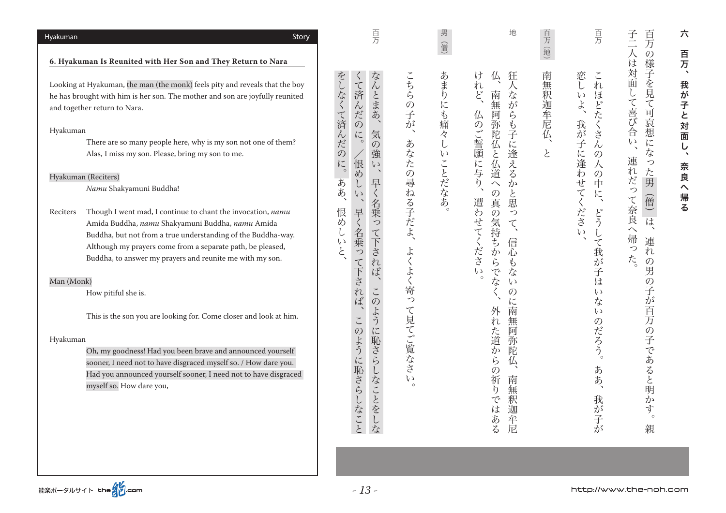| Hyakuman   | Story                                                                                                                                                                                                                                                                                                     |                                         | 頁                                                                                         |                                          | 男<br>道                    | 地                                                                                                                                         | 百万                   | 百万                                                                                                                                              | 百<br>子<br>万                                                                                                     | 六                                           |
|------------|-----------------------------------------------------------------------------------------------------------------------------------------------------------------------------------------------------------------------------------------------------------------------------------------------------------|-----------------------------------------|-------------------------------------------------------------------------------------------|------------------------------------------|---------------------------|-------------------------------------------------------------------------------------------------------------------------------------------|----------------------|-------------------------------------------------------------------------------------------------------------------------------------------------|-----------------------------------------------------------------------------------------------------------------|---------------------------------------------|
|            | 6. Hyakuman Is Reunited with Her Son and They Return to Nara                                                                                                                                                                                                                                              |                                         |                                                                                           |                                          |                           |                                                                                                                                           | 地                    |                                                                                                                                                 | の様子                                                                                                             | 百万                                          |
|            | Looking at Hyakuman, the man (the monk) feels pity and reveals that the boy<br>he has brought with him is her son. The mother and son are joyfully reunited<br>and together return to Nara.                                                                                                               | をしなく                                    | なんとまあ<br>$\mathcal{L}_{\mathcal{A}}$<br>て済んだのに。                                           | こちらの子が                                   | あまり<br>に                  | 狂<br>け<br>仏<br>$\curlywedge$<br>れ<br>ど、<br>なが<br>南<br>無<br>仏<br>阿                                                                         | 南<br>無<br>釈<br>迦牟尼仏、 | 恋<br>$\check{\phantom{a}}$<br>れ<br>ほ<br>$\iota$<br>どたくさ<br>ょ                                                                                    | は対<br>面<br>を見<br>L<br>て喜<br>~可哀<br>び                                                                            | 我が子と対面し                                     |
| Hyakuman   | There are so many people here, why is my son not one of them?<br>Alas, I miss my son. Please, bring my son to me.<br>Hyakuman (Reciters)<br>Namu Shakyamuni Buddha!                                                                                                                                       | て済んだ<br>$\mathcal{O}$<br>$\iota$<br>ああ、 | 気<br>$\mathcal{O}$<br>強<br>很め<br>$\zeta$ )<br>早く<br>$\epsilon y$                          | $\boldsymbol{\lambda}$<br>あなたの<br>尋<br>ね | にも痛々<br>$\cup$<br>いことだなあ。 | らも子<br>弥陀<br>$\mathcal{O}$<br>ご旨願<br>仏と<br>に逢<br>仏道<br>える<br>に与<br>$\eta$<br>$\curvearrowright$<br>か<br>と<br>$\mathcal{O}$<br>遭<br>思<br>真 | と                    | 我が<br>子<br>$\overline{\lambda}$<br>に逢<br>$\mathcal{O}$<br>人<br>わ<br>$\mathcal{O}$<br>せ<br>中<br>$\boldsymbol{\tau}$<br>に<br>$\blacktriangledown$ | 想<br>合<br>$\epsilon$<br>に<br>$\boldsymbol{\checkmark}$<br>な<br>連<br>っ<br>$\overline{n}$<br>た<br>だっ<br>男<br>僧    | $\blacktriangleleft$<br>奈良<br>$\hat{}$<br>帰 |
| Reciters   | Though I went mad, I continue to chant the invocation, namu<br>Amida Buddha, namu Shakyamuni Buddha, namu Amida<br>Buddha, but not from a true understanding of the Buddha-way.<br>Although my prayers come from a separate path, be pleased,<br>Buddha, to answer my prayers and reunite me with my son. | 恨<br>め<br>( J<br>$\zeta$                | 名乗っ<br>早く名乗って<br>て下され<br>ば                                                                | る子だよ<br>よく                               |                           | わ<br>$\mathcal{O}$<br>つ<br>せて<br>気<br>て<br>持<br>$\blacktriangledown$<br>信<br>ち<br>ださい<br>か<br>心<br>ふらでな<br>$\mathfrak{F}$<br>な            |                      | ださ<br>どう<br>$\mathfrak{c}$<br>$\tau$<br>我<br>が<br>子                                                                                             | て奈良<br>$\overline{\phantom{0}}$<br>は<br>$\widehat{\phantom{0}}$<br>帰<br>連<br>っ<br>れ<br>た。<br>$\mathcal{O}$<br>勇 | る                                           |
| Man (Monk) | How pitiful she is.                                                                                                                                                                                                                                                                                       |                                         | 下されば<br>$\rightarrow$<br>$\check{\phantom{a}}$<br>$\mathcal{O}$                           | よく寄っ                                     |                           | $\circ$<br>$\zeta$<br>$\mathcal{O}$<br>に<br>南                                                                                             |                      | は<br>$\zeta$<br>な                                                                                                                               | $\mathcal{O}$                                                                                                   |                                             |
| Hyakuman   | This is the son you are looking for. Come closer and look at him.<br>Oh, my goodness! Had you been brave and announced yourself<br>sooner, I need not to have disgraced myself so. / How dare you.<br>Had you announced yourself sooner, I need not to have disgraced<br>myself so. How dare you,         |                                         | よう<br>$\tilde{\phantom{a}}$<br>に<br>$\mathcal{O}$<br>ように恥さら<br>恥さら<br>しなことを<br>しなこと<br>こな | て見てご覧なさ<br>$\epsilon$ $\sqrt$<br>$\circ$ |                           | 無<br>れ<br>た道か<br>阿<br>弥<br>陀<br>ら<br>仏<br>$\mathcal{O}$<br>祈<br>南<br>$\mathfrak h$<br>無<br>釈<br>で<br>はある<br>迦<br>军尼                       |                      | $\iota$<br>$\mathcal{O}$<br><b>)だろう。</b><br>あ<br>あ<br>我が<br>子<br>が                                                                              | 子が百万の子であると明か<br>寸<br>$\circ$<br>親                                                                               |                                             |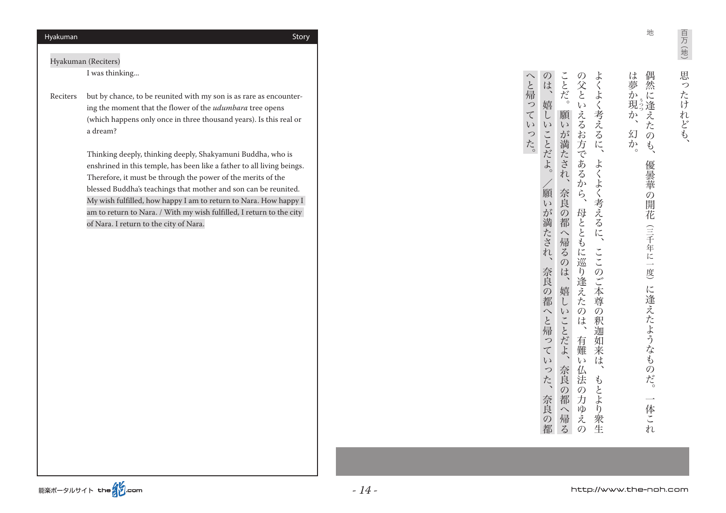Hyakuman (Reciters)

I was thinking...

Reciters — but by chance, to be reunited with my son is as rare as encountering the moment that the flower of the *udumbara* tree opens (which happens only once in three thousand years). Is this real or a dream?

> Thinking deeply, thinking deeply, Shakyamuni Buddha, who is enshrined in this temple, has been like a father to all living beings. Therefore, it must be through the power of the merits of the blessed Buddha's teachings that mother and son can be reunited. My wish fulfilled, how happy I am to return to Nara. How happy  $I$ am to return to Nara. / With my wish fulfilled, I return to the city of Nara. I return to the city of Nara.

地

イター・コン イター・イン こうしょう こうしょう こうしょう こうしょう こうしょう 偶然 は夢か現か しゅうしょう しゅうしょう しゅうしょう しゅうしょう しゅうしゅう しゅうしゅう しゅうしゅう しゅうしゅう しゅうしゅう しゅうしゅう しゅうしゅう しゅうしゅう しゅうしゅうしゅ うつつ  $\tilde{\phantom{a}}$ 。幻か、か 幻か  $\phi$ ' ہ 優曇華  $\overline{O}$ 3開花 (三千年に一 度 に逢えたようなも のだ。  $\overline{\phantom{0}}$ 体  $\sum$  $n$ 

ことだ。 よく へと帰っていった。 のは、嬉しい の父とい 奈良の都、奈良の都へと帰っていった、願いが満たされ/。嬉しいことだよ、のは 有難いん法の人は、の父といえるおうに、の父といえるおうに、の父といえるおうに、の父といえるおうに、の父といえるおうに、の父といえるおうに、 もとは、そのこでは、よりも、そのことは、よくよく考えるに、またよくなくまで、またよくよくなく考えるに、よくよく考えるに、よくよくなくまで、またよくよくなくまで、また、また、また、また、また、また、また  $\overline{\mathbf{r}}$  $\zeta$ 考えるに、 願 えるお方  $\overline{v}$ 奈良の都へ帰る、嬉しいことだよ、奈良の都へ帰るのは、願いが満たされ ことだよ。 が満たされ、 であるから、 よく よく考えるに 奈良の都 顧  $\overline{v}$ 母ととも が満たされ、 ≒へ帰るの に巡  $\check{C}$ こは、嬉 このご本 奈良の都へと帰って ら逢えた 尊  $\ddot{\iota}$  $\overline{v}$  $\mathcal{O}$  $\mathcal{O}$ 低 ことだよ、 釈 迦 有 如 莱 難  $\zeta$  $\overline{v}$ は つた、 奈良の 仏 云の もと 奈良の都 都 力 より 一へ帰る  $\widetilde{\varphi}$ えの 衆生

。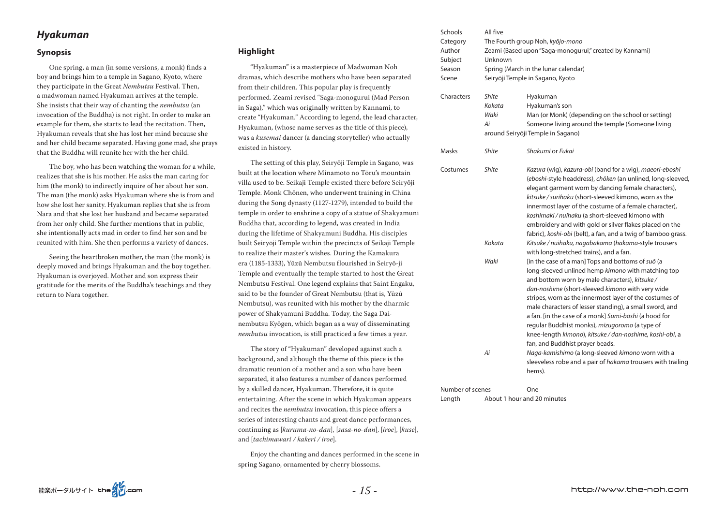# *Hyakuman*

### **Synopsis**

One spring, a man (in some versions, a monk) finds a boy and brings him to a temple in Sagano, Kyoto, where they participate in the Great *Nembutsu* Festival. Then, a madwoman named Hyakuman arrives at the temple. She insists that their way of chanting the *nembutsu* (an invocation of the Buddha) is not right. In order to make an example for them, she starts to lead the recitation. Then, Hyakuman reveals that she has lost her mind because she and her child became separated. Having gone mad, she prays that the Buddha will reunite her with the her child.

The boy, who has been watching the woman for a while, realizes that she is his mother. He asks the man caring for him (the monk) to indirectly inquire of her about her son. The man (the monk) asks Hyakuman where she is from and how she lost her sanity. Hyakuman replies that she is from Nara and that she lost her husband and became separated from her only child. She further mentions that in public, she intentionally acts mad in order to find her son and be reunited with him. She then performs a variety of dances.

Seeing the heartbroken mother, the man (the monk) is deeply moved and brings Hyakuman and the boy together. Hyakuman is overjoyed. Mother and son express their gratitude for the merits of the Buddha's teachings and they return to Nara together.

# **Highlight**

"Hyakuman" is a masterpiece of Madwoman Noh dramas, which describe mothers who have been separated from their children. This popular play is frequently performed. Zeami revised "Saga-monogurui (Mad Person in Saga)," which was originally written by Kannami, to create "Hyakuman." According to legend, the lead character, Hyakuman, (whose name serves as the title of this piece), was a kusemai dancer (a dancing storyteller) who actually existed in history.

The setting of this play, Seiryōji Temple in Sagano, was built at the location where Minamoto no Tōru's mountain villa used to be. Seikaji Temple existed there before Seiryōji Temple. Monk Chōnen, who underwent training in China during the Song dynasty (1127-1279), intended to build the temple in order to enshrine a copy of a statue of Shakyamuni Buddha that, according to legend, was created in India during the lifetime of Shakyamuni Buddha. His disciples built Seiryōji Temple within the precincts of Seikaji Temple to realize their master's wishes. During the Kamakura era (1185-1333), Yūzū Nembutsu flourished in Seirvō-ii Temple and eventually the temple started to host the Great Nembutsu Festival. One legend explains that Saint Engaku, said to be the founder of Great Nembutsu (that is, Yūzū Nembutsu), was reunited with his mother by the dharmic nembutsu Kyōgen, which began as a way of disseminating power of Shakyamuni Buddha. Today, the Saga Dainembutsu invocation, is still practiced a few times a year.

The story of "Hyakuman" developed against such a background, and although the theme of this piece is the dramatic reunion of a mother and a son who have been separated, it also features a number of dances performed by a skilled dancer, Hyakuman. Therefore, it is quite entertaining. After the scene in which Hyakuman appears and recites the *nembutsu* invocation, this piece offers a series of interesting chants and great dance performances, continuing as [kuruma-no-dan], [sasa-no-dan], [iroe], [kuse], and *[tachimawari / kakeri / iroe]*.

Enjoy the chanting and dances performed in the scene in spring Sagano, ornamented by cherry blossoms.

| Schools<br>Category<br>Author<br>Subject<br>Season<br>Scene | All five<br>Unknown                  | The Fourth group Noh, kyōjo-mono<br>Zeami (Based upon "Saga-monogurui," created by Kannami)<br>Spring (March in the lunar calendar)<br>Seiryōji Temple in Sagano, Kyoto                                                                                                                                                                                                                                                                                                                                                                                                                                                                                                                                                                                                                                                                                                                                                                                                                                                                                                                                                                                                                                                                                            |
|-------------------------------------------------------------|--------------------------------------|--------------------------------------------------------------------------------------------------------------------------------------------------------------------------------------------------------------------------------------------------------------------------------------------------------------------------------------------------------------------------------------------------------------------------------------------------------------------------------------------------------------------------------------------------------------------------------------------------------------------------------------------------------------------------------------------------------------------------------------------------------------------------------------------------------------------------------------------------------------------------------------------------------------------------------------------------------------------------------------------------------------------------------------------------------------------------------------------------------------------------------------------------------------------------------------------------------------------------------------------------------------------|
| Characters                                                  | <b>Shite</b><br>Kokata<br>Waki<br>Аi | Hyakuman<br>Hyakuman's son<br>Man (or Monk) (depending on the school or setting)<br>Someone living around the temple (Someone living<br>around Seiryōji Temple in Sagano)                                                                                                                                                                                                                                                                                                                                                                                                                                                                                                                                                                                                                                                                                                                                                                                                                                                                                                                                                                                                                                                                                          |
| Masks                                                       | <b>Shite</b>                         | Shakumi or Fukai                                                                                                                                                                                                                                                                                                                                                                                                                                                                                                                                                                                                                                                                                                                                                                                                                                                                                                                                                                                                                                                                                                                                                                                                                                                   |
| Costumes                                                    | Shite<br>Kokata<br>Waki<br>Аi        | Kazura (wig), kazura-obi (band for a wig), maeori-eboshi<br>(eboshi-style headdress), chōken (an unlined, long-sleeved,<br>elegant garment worn by dancing female characters),<br>kitsuke / surihaku (short-sleeved kimono, worn as the<br>innermost layer of the costume of a female character),<br>koshimaki / nuihaku (a short-sleeved kimono with<br>embroidery and with gold or silver flakes placed on the<br>fabric), koshi-obi (belt), a fan, and a twig of bamboo grass.<br>Kitsuke / nuihaku, nagabakama (hakama-style trousers<br>with long-stretched trains), and a fan.<br>[in the case of a man] Tops and bottoms of suo (a<br>long-sleeved unlined hemp kimono with matching top<br>and bottom worn by male characters), kitsuke/<br>dan-noshime (short-sleeved kimono with very wide<br>stripes, worn as the innermost layer of the costumes of<br>male characters of lesser standing), a small sword, and<br>a fan. [in the case of a monk] Sumi-boshi (a hood for<br>regular Buddhist monks), mizugoromo (a type of<br>knee-length kimono), kitsuke / dan-noshime, koshi-obi, a<br>fan, and Buddhist prayer beads.<br>Naga-kamishimo (a long-sleeved kimono worn with a<br>sleeveless robe and a pair of hakama trousers with trailing<br>hems). |

Number of scenes **One** Length About 1 hour and 20 minutes